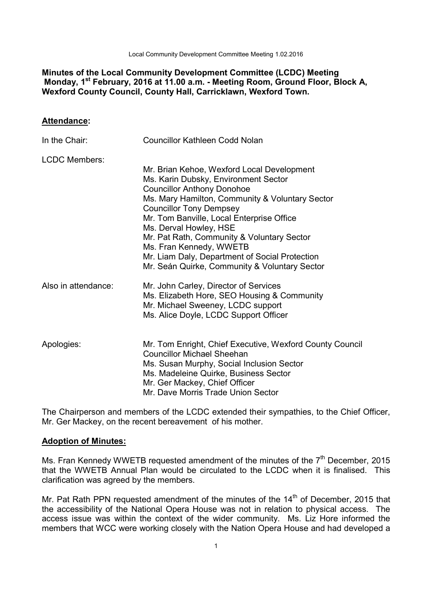Local Community Development Committee Meeting 1.02.2016

## **Minutes of the Local Community Development Committee (LCDC) Meeting Monday, 1st February, 2016 at 11.00 a.m. - Meeting Room, Ground Floor, Block A, Wexford County Council, County Hall, Carricklawn, Wexford Town.**

#### **Attendance:**

| In the Chair:        | Councillor Kathleen Codd Nolan                                                                                                                                                                                                                                                                                                    |
|----------------------|-----------------------------------------------------------------------------------------------------------------------------------------------------------------------------------------------------------------------------------------------------------------------------------------------------------------------------------|
| <b>LCDC Members:</b> | Mr. Brian Kehoe, Wexford Local Development<br>Ms. Karin Dubsky, Environment Sector<br><b>Councillor Anthony Donohoe</b><br>Ms. Mary Hamilton, Community & Voluntary Sector<br><b>Councillor Tony Dempsey</b><br>Mr. Tom Banville, Local Enterprise Office<br>Ms. Derval Howley, HSE<br>Mr. Pat Rath, Community & Voluntary Sector |
| Also in attendance:  | Ms. Fran Kennedy, WWETB<br>Mr. Liam Daly, Department of Social Protection<br>Mr. Seán Quirke, Community & Voluntary Sector<br>Mr. John Carley, Director of Services<br>Ms. Elizabeth Hore, SEO Housing & Community<br>Mr. Michael Sweeney, LCDC support                                                                           |
| Apologies:           | Ms. Alice Doyle, LCDC Support Officer<br>Mr. Tom Enright, Chief Executive, Wexford County Council<br><b>Councillor Michael Sheehan</b><br>Ms. Susan Murphy, Social Inclusion Sector<br>Ms. Madeleine Quirke, Business Sector<br>Mr. Ger Mackey, Chief Officer<br>Mr. Dave Morris Trade Union Sector                               |

The Chairperson and members of the LCDC extended their sympathies, to the Chief Officer, Mr. Ger Mackey, on the recent bereavement of his mother.

#### **Adoption of Minutes:**

Ms. Fran Kennedy WWETB requested amendment of the minutes of the  $7<sup>th</sup>$  December, 2015 that the WWETB Annual Plan would be circulated to the LCDC when it is finalised. This clarification was agreed by the members.

Mr. Pat Rath PPN requested amendment of the minutes of the  $14<sup>th</sup>$  of December, 2015 that the accessibility of the National Opera House was not in relation to physical access. The access issue was within the context of the wider community. Ms. Liz Hore informed the members that WCC were working closely with the Nation Opera House and had developed a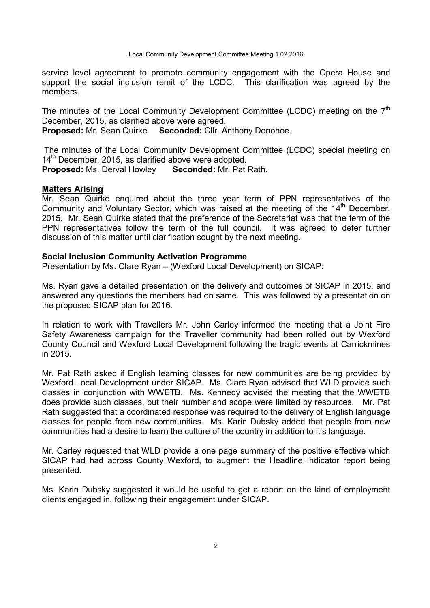service level agreement to promote community engagement with the Opera House and support the social inclusion remit of the LCDC. This clarification was agreed by the members.

The minutes of the Local Community Development Committee (LCDC) meeting on the  $7<sup>th</sup>$ December, 2015, as clarified above were agreed.

**Proposed:** Mr. Sean Quirke **Seconded:** Cllr. Anthony Donohoe.

 The minutes of the Local Community Development Committee (LCDC) special meeting on  $14<sup>th</sup>$  December, 2015, as clarified above were adopted. **Proposed:** Ms. Derval Howley **Seconded:** Mr. Pat Rath.

#### **Matters Arising**

Mr. Sean Quirke enquired about the three year term of PPN representatives of the Community and Voluntary Sector, which was raised at the meeting of the  $14<sup>th</sup>$  December, 2015. Mr. Sean Quirke stated that the preference of the Secretariat was that the term of the PPN representatives follow the term of the full council. It was agreed to defer further discussion of this matter until clarification sought by the next meeting.

#### **Social Inclusion Community Activation Programme**

Presentation by Ms. Clare Ryan – (Wexford Local Development) on SICAP:

Ms. Ryan gave a detailed presentation on the delivery and outcomes of SICAP in 2015, and answered any questions the members had on same. This was followed by a presentation on the proposed SICAP plan for 2016.

In relation to work with Travellers Mr. John Carley informed the meeting that a Joint Fire Safety Awareness campaign for the Traveller community had been rolled out by Wexford County Council and Wexford Local Development following the tragic events at Carrickmines in 2015.

Mr. Pat Rath asked if English learning classes for new communities are being provided by Wexford Local Development under SICAP. Ms. Clare Ryan advised that WLD provide such classes in conjunction with WWETB. Ms. Kennedy advised the meeting that the WWETB does provide such classes, but their number and scope were limited by resources. Mr. Pat Rath suggested that a coordinated response was required to the delivery of English language classes for people from new communities. Ms. Karin Dubsky added that people from new communities had a desire to learn the culture of the country in addition to it's language.

Mr. Carley requested that WLD provide a one page summary of the positive effective which SICAP had had across County Wexford, to augment the Headline Indicator report being presented.

Ms. Karin Dubsky suggested it would be useful to get a report on the kind of employment clients engaged in, following their engagement under SICAP.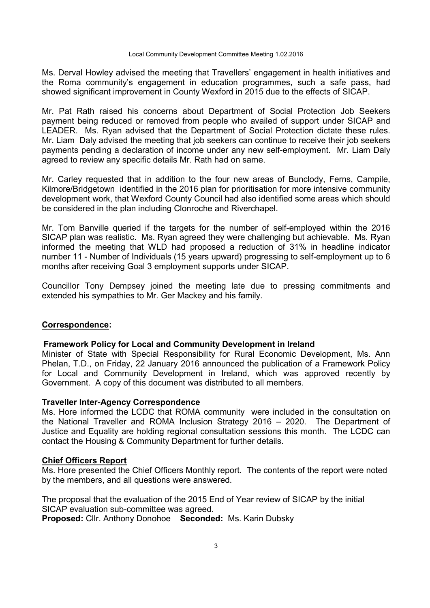Ms. Derval Howley advised the meeting that Travellers' engagement in health initiatives and the Roma community's engagement in education programmes, such a safe pass, had showed significant improvement in County Wexford in 2015 due to the effects of SICAP.

Mr. Pat Rath raised his concerns about Department of Social Protection Job Seekers payment being reduced or removed from people who availed of support under SICAP and LEADER. Ms. Ryan advised that the Department of Social Protection dictate these rules. Mr. Liam Daly advised the meeting that job seekers can continue to receive their job seekers payments pending a declaration of income under any new self-employment. Mr. Liam Daly agreed to review any specific details Mr. Rath had on same.

Mr. Carley requested that in addition to the four new areas of Bunclody, Ferns, Campile, Kilmore/Bridgetown identified in the 2016 plan for prioritisation for more intensive community development work, that Wexford County Council had also identified some areas which should be considered in the plan including Clonroche and Riverchapel.

Mr. Tom Banville queried if the targets for the number of self-employed within the 2016 SICAP plan was realistic. Ms. Ryan agreed they were challenging but achievable. Ms. Ryan informed the meeting that WLD had proposed a reduction of 31% in headline indicator number 11 - Number of Individuals (15 years upward) progressing to self-employment up to 6 months after receiving Goal 3 employment supports under SICAP.

Councillor Tony Dempsey joined the meeting late due to pressing commitments and extended his sympathies to Mr. Ger Mackey and his family.

#### **Correspondence:**

#### **Framework Policy for Local and Community Development in Ireland**

Minister of State with Special Responsibility for Rural Economic Development, Ms. Ann Phelan, T.D., on Friday, 22 January 2016 announced the publication of a Framework Policy for Local and Community Development in Ireland, which was approved recently by Government. A copy of this document was distributed to all members.

#### **Traveller Inter-Agency Correspondence**

Ms. Hore informed the LCDC that ROMA community were included in the consultation on the National Traveller and ROMA Inclusion Strategy 2016 – 2020. The Department of Justice and Equality are holding regional consultation sessions this month. The LCDC can contact the Housing & Community Department for further details.

#### **Chief Officers Report**

Ms. Hore presented the Chief Officers Monthly report. The contents of the report were noted by the members, and all questions were answered.

The proposal that the evaluation of the 2015 End of Year review of SICAP by the initial SICAP evaluation sub-committee was agreed.

**Proposed:** Cllr. Anthony Donohoe **Seconded:** Ms. Karin Dubsky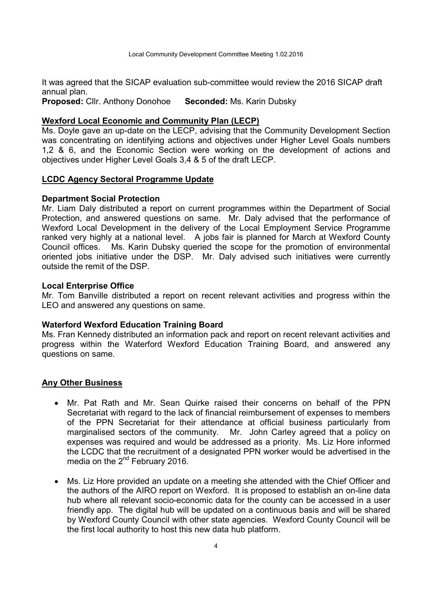It was agreed that the SICAP evaluation sub-committee would review the 2016 SICAP draft annual plan.

**Proposed:** Cllr. Anthony Donohoe **Seconded:** Ms. Karin Dubsky

### **Wexford Local Economic and Community Plan (LECP)**

Ms. Doyle gave an up-date on the LECP, advising that the Community Development Section was concentrating on identifying actions and objectives under Higher Level Goals numbers 1,2 & 6, and the Economic Section were working on the development of actions and objectives under Higher Level Goals 3,4 & 5 of the draft LECP.

### **LCDC Agency Sectoral Programme Update**

#### **Department Social Protection**

Mr. Liam Daly distributed a report on current programmes within the Department of Social Protection, and answered questions on same. Mr. Daly advised that the performance of Wexford Local Development in the delivery of the Local Employment Service Programme ranked very highly at a national level. A jobs fair is planned for March at Wexford County Council offices. Ms. Karin Dubsky queried the scope for the promotion of environmental oriented jobs initiative under the DSP. Mr. Daly advised such initiatives were currently outside the remit of the DSP.

#### **Local Enterprise Office**

Mr. Tom Banville distributed a report on recent relevant activities and progress within the LEO and answered any questions on same.

#### **Waterford Wexford Education Training Board**

Ms. Fran Kennedy distributed an information pack and report on recent relevant activities and progress within the Waterford Wexford Education Training Board, and answered any questions on same.

### **Any Other Business**

- Mr. Pat Rath and Mr. Sean Quirke raised their concerns on behalf of the PPN Secretariat with regard to the lack of financial reimbursement of expenses to members of the PPN Secretariat for their attendance at official business particularly from marginalised sectors of the community. Mr. John Carley agreed that a policy on expenses was required and would be addressed as a priority. Ms. Liz Hore informed the LCDC that the recruitment of a designated PPN worker would be advertised in the media on the  $2^{nd}$  February 2016.
- Ms. Liz Hore provided an update on a meeting she attended with the Chief Officer and the authors of the AIRO report on Wexford. It is proposed to establish an on-line data hub where all relevant socio-economic data for the county can be accessed in a user friendly app. The digital hub will be updated on a continuous basis and will be shared by Wexford County Council with other state agencies. Wexford County Council will be the first local authority to host this new data hub platform.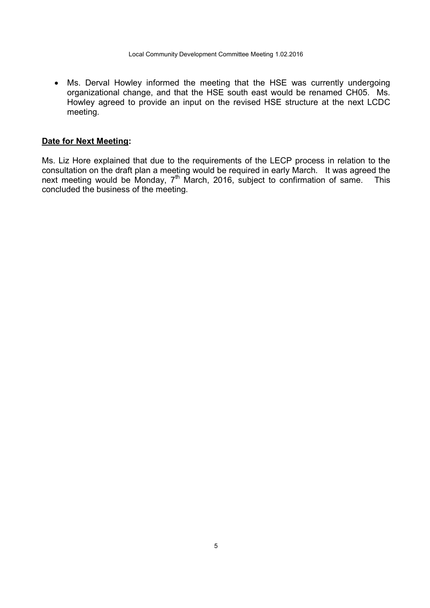• Ms. Derval Howley informed the meeting that the HSE was currently undergoing organizational change, and that the HSE south east would be renamed CH05. Ms. Howley agreed to provide an input on the revised HSE structure at the next LCDC meeting.

### **Date for Next Meeting:**

Ms. Liz Hore explained that due to the requirements of the LECP process in relation to the consultation on the draft plan a meeting would be required in early March. It was agreed the next meeting would be Monday,  $7<sup>th</sup>$  March, 2016, subject to confirmation of same. This concluded the business of the meeting.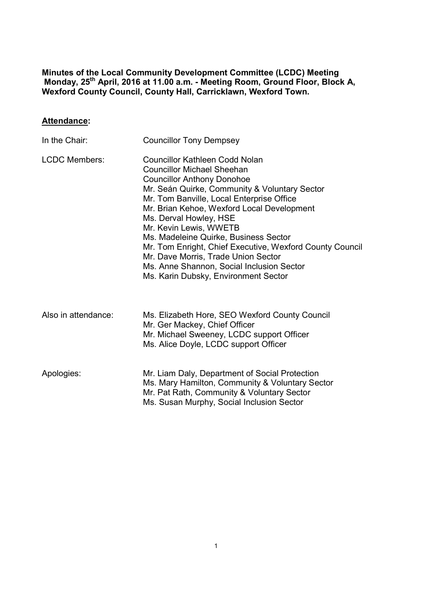**Minutes of the Local Community Development Committee (LCDC) Meeting Monday, 25th April, 2016 at 11.00 a.m. - Meeting Room, Ground Floor, Block A, Wexford County Council, County Hall, Carricklawn, Wexford Town.** 

# **Attendance:**

| In the Chair:        | <b>Councillor Tony Dempsey</b>                                                                                                                                                                                                                                                                                                                                                                                                                                                                                                            |
|----------------------|-------------------------------------------------------------------------------------------------------------------------------------------------------------------------------------------------------------------------------------------------------------------------------------------------------------------------------------------------------------------------------------------------------------------------------------------------------------------------------------------------------------------------------------------|
| <b>LCDC Members:</b> | Councillor Kathleen Codd Nolan<br><b>Councillor Michael Sheehan</b><br><b>Councillor Anthony Donohoe</b><br>Mr. Seán Quirke, Community & Voluntary Sector<br>Mr. Tom Banville, Local Enterprise Office<br>Mr. Brian Kehoe, Wexford Local Development<br>Ms. Derval Howley, HSE<br>Mr. Kevin Lewis, WWETB<br>Ms. Madeleine Quirke, Business Sector<br>Mr. Tom Enright, Chief Executive, Wexford County Council<br>Mr. Dave Morris, Trade Union Sector<br>Ms. Anne Shannon, Social Inclusion Sector<br>Ms. Karin Dubsky, Environment Sector |
| Also in attendance:  | Ms. Elizabeth Hore, SEO Wexford County Council<br>Mr. Ger Mackey, Chief Officer<br>Mr. Michael Sweeney, LCDC support Officer<br>Ms. Alice Doyle, LCDC support Officer                                                                                                                                                                                                                                                                                                                                                                     |
| Apologies:           | Mr. Liam Daly, Department of Social Protection<br>Ms. Mary Hamilton, Community & Voluntary Sector<br>Mr. Pat Rath, Community & Voluntary Sector<br>Ms. Susan Murphy, Social Inclusion Sector                                                                                                                                                                                                                                                                                                                                              |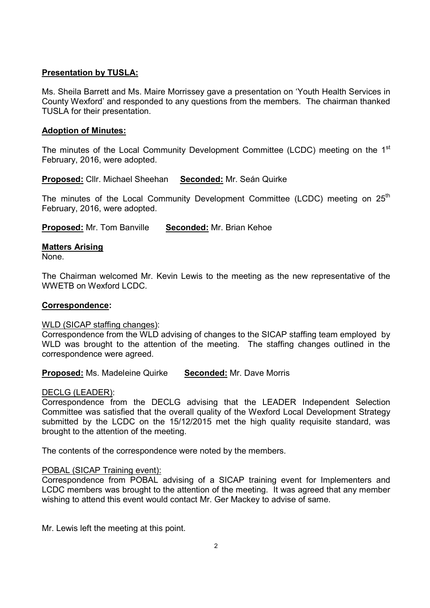### **Presentation by TUSLA:**

Ms. Sheila Barrett and Ms. Maire Morrissey gave a presentation on 'Youth Health Services in County Wexford' and responded to any questions from the members. The chairman thanked TUSLA for their presentation.

### **Adoption of Minutes:**

The minutes of the Local Community Development Committee (LCDC) meeting on the 1<sup>st</sup> February, 2016, were adopted.

**Proposed:** Cllr. Michael Sheehan **Seconded:** Mr. Seán Quirke

The minutes of the Local Community Development Committee (LCDC) meeting on  $25<sup>th</sup>$ February, 2016, were adopted.

**Proposed:** Mr. Tom Banville **Seconded:** Mr. Brian Kehoe

### **Matters Arising**

None.

The Chairman welcomed Mr. Kevin Lewis to the meeting as the new representative of the WWETB on Wexford LCDC.

### **Correspondence:**

### WLD (SICAP staffing changes):

Correspondence from the WLD advising of changes to the SICAP staffing team employed by WLD was brought to the attention of the meeting. The staffing changes outlined in the correspondence were agreed.

**Proposed:** Ms. Madeleine Quirke **Seconded:** Mr. Dave Morris

### DECLG (LEADER):

Correspondence from the DECLG advising that the LEADER Independent Selection Committee was satisfied that the overall quality of the Wexford Local Development Strategy submitted by the LCDC on the 15/12/2015 met the high quality requisite standard, was brought to the attention of the meeting.

The contents of the correspondence were noted by the members.

### POBAL (SICAP Training event):

Correspondence from POBAL advising of a SICAP training event for Implementers and LCDC members was brought to the attention of the meeting. It was agreed that any member wishing to attend this event would contact Mr. Ger Mackey to advise of same.

Mr. Lewis left the meeting at this point.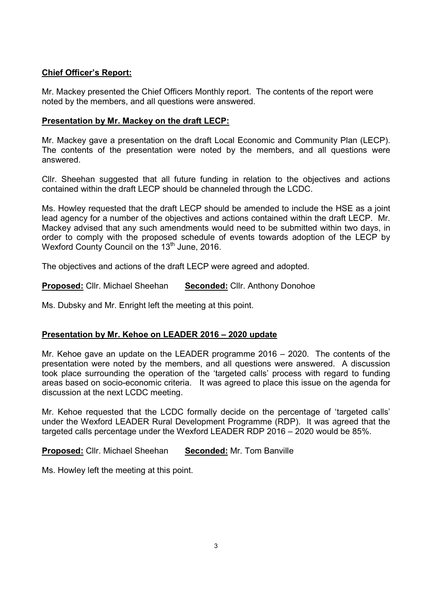## **Chief Officer's Report:**

Mr. Mackey presented the Chief Officers Monthly report. The contents of the report were noted by the members, and all questions were answered.

### **Presentation by Mr. Mackey on the draft LECP:**

Mr. Mackey gave a presentation on the draft Local Economic and Community Plan (LECP). The contents of the presentation were noted by the members, and all questions were answered.

Cllr. Sheehan suggested that all future funding in relation to the objectives and actions contained within the draft LECP should be channeled through the LCDC.

Ms. Howley requested that the draft LECP should be amended to include the HSE as a joint lead agency for a number of the objectives and actions contained within the draft LECP. Mr. Mackey advised that any such amendments would need to be submitted within two days, in order to comply with the proposed schedule of events towards adoption of the LECP by Wexford County Council on the 13<sup>th</sup> June, 2016.

The objectives and actions of the draft LECP were agreed and adopted.

**Proposed:** Cllr. Michael Sheehan **Seconded:** Cllr. Anthony Donohoe

Ms. Dubsky and Mr. Enright left the meeting at this point.

## **Presentation by Mr. Kehoe on LEADER 2016 – 2020 update**

Mr. Kehoe gave an update on the LEADER programme 2016 – 2020. The contents of the presentation were noted by the members, and all questions were answered. A discussion took place surrounding the operation of the 'targeted calls' process with regard to funding areas based on socio-economic criteria. It was agreed to place this issue on the agenda for discussion at the next LCDC meeting.

Mr. Kehoe requested that the LCDC formally decide on the percentage of 'targeted calls' under the Wexford LEADER Rural Development Programme (RDP). It was agreed that the targeted calls percentage under the Wexford LEADER RDP 2016 – 2020 would be 85%.

**Proposed:** Cllr. Michael Sheehan **Seconded:** Mr. Tom Banville

Ms. Howley left the meeting at this point.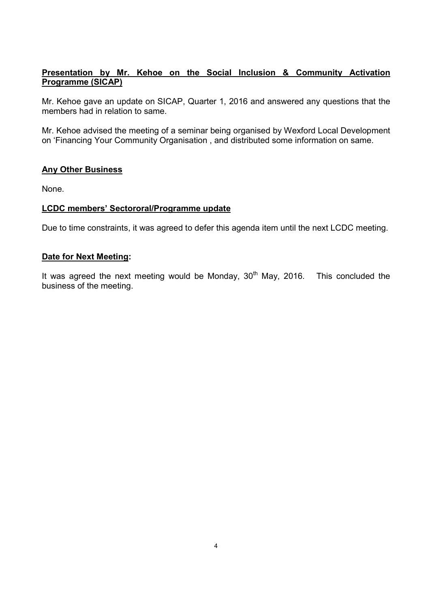# **Presentation by Mr. Kehoe on the Social Inclusion & Community Activation Programme (SICAP)**

Mr. Kehoe gave an update on SICAP, Quarter 1, 2016 and answered any questions that the members had in relation to same.

Mr. Kehoe advised the meeting of a seminar being organised by Wexford Local Development on 'Financing Your Community Organisation , and distributed some information on same.

### **Any Other Business**

None.

### **LCDC members' Sectororal/Programme update**

Due to time constraints, it was agreed to defer this agenda item until the next LCDC meeting.

### **Date for Next Meeting:**

It was agreed the next meeting would be Monday,  $30<sup>th</sup>$  May, 2016. This concluded the business of the meeting.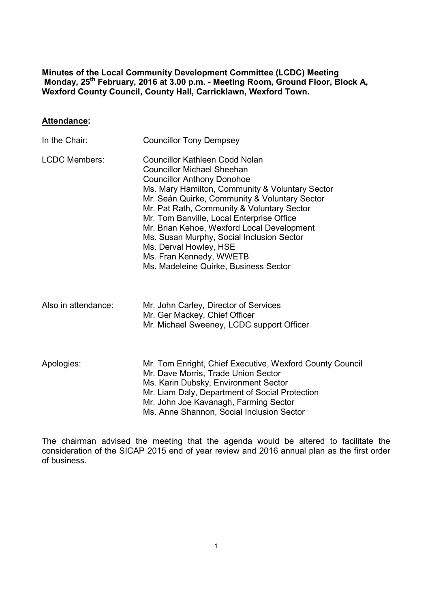**Minutes of the Local Community Development Committee (LCDC) Meeting Monday, 25th February, 2016 at 3.00 p.m. - Meeting Room, Ground Floor, Block A, Wexford County Council, County Hall, Carricklawn, Wexford Town.** 

#### **Attendance:**

| In the Chair:        | <b>Councillor Tony Dempsey</b>                                                                                                                                                                                                                                                                                                                                                                                                                                                                   |
|----------------------|--------------------------------------------------------------------------------------------------------------------------------------------------------------------------------------------------------------------------------------------------------------------------------------------------------------------------------------------------------------------------------------------------------------------------------------------------------------------------------------------------|
| <b>LCDC Members:</b> | Councillor Kathleen Codd Nolan<br><b>Councillor Michael Sheehan</b><br><b>Councillor Anthony Donohoe</b><br>Ms. Mary Hamilton, Community & Voluntary Sector<br>Mr. Seán Quirke, Community & Voluntary Sector<br>Mr. Pat Rath, Community & Voluntary Sector<br>Mr. Tom Banville, Local Enterprise Office<br>Mr. Brian Kehoe, Wexford Local Development<br>Ms. Susan Murphy, Social Inclusion Sector<br>Ms. Derval Howley, HSE<br>Ms. Fran Kennedy, WWETB<br>Ms. Madeleine Quirke, Business Sector |
|                      |                                                                                                                                                                                                                                                                                                                                                                                                                                                                                                  |

| Also in attendance: | Mr. John Carley, Director of Services     |
|---------------------|-------------------------------------------|
|                     | Mr. Ger Mackey, Chief Officer             |
|                     | Mr. Michael Sweeney, LCDC support Officer |

Apologies: Mr. Tom Enright, Chief Executive, Wexford County Council Mr. Dave Morris, Trade Union Sector Ms. Karin Dubsky, Environment Sector Mr. Liam Daly, Department of Social Protection Mr. John Joe Kavanagh, Farming Sector Ms. Anne Shannon, Social Inclusion Sector

The chairman advised the meeting that the agenda would be altered to facilitate the consideration of the SICAP 2015 end of year review and 2016 annual plan as the first order of business.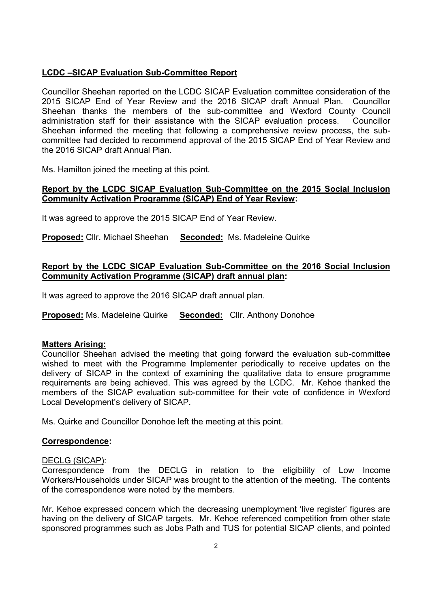## **LCDC –SICAP Evaluation Sub-Committee Report**

Councillor Sheehan reported on the LCDC SICAP Evaluation committee consideration of the 2015 SICAP End of Year Review and the 2016 SICAP draft Annual Plan. Councillor Sheehan thanks the members of the sub-committee and Wexford County Council administration staff for their assistance with the SICAP evaluation process. Councillor Sheehan informed the meeting that following a comprehensive review process, the subcommittee had decided to recommend approval of the 2015 SICAP End of Year Review and the 2016 SICAP draft Annual Plan.

Ms. Hamilton joined the meeting at this point.

### **Report by the LCDC SICAP Evaluation Sub-Committee on the 2015 Social Inclusion Community Activation Programme (SICAP) End of Year Review:**

It was agreed to approve the 2015 SICAP End of Year Review.

**Proposed:** Cllr. Michael Sheehan **Seconded:** Ms. Madeleine Quirke

### **Report by the LCDC SICAP Evaluation Sub-Committee on the 2016 Social Inclusion Community Activation Programme (SICAP) draft annual plan:**

It was agreed to approve the 2016 SICAP draft annual plan.

**Proposed:** Ms. Madeleine Quirke **Seconded:** Cllr. Anthony Donohoe

### **Matters Arising:**

Councillor Sheehan advised the meeting that going forward the evaluation sub-committee wished to meet with the Programme Implementer periodically to receive updates on the delivery of SICAP in the context of examining the qualitative data to ensure programme requirements are being achieved. This was agreed by the LCDC. Mr. Kehoe thanked the members of the SICAP evaluation sub-committee for their vote of confidence in Wexford Local Development's delivery of SICAP.

Ms. Quirke and Councillor Donohoe left the meeting at this point.

#### **Correspondence:**

#### DECLG (SICAP):

Correspondence from the DECLG in relation to the eligibility of Low Income Workers/Households under SICAP was brought to the attention of the meeting. The contents of the correspondence were noted by the members.

Mr. Kehoe expressed concern which the decreasing unemployment 'live register' figures are having on the delivery of SICAP targets. Mr. Kehoe referenced competition from other state sponsored programmes such as Jobs Path and TUS for potential SICAP clients, and pointed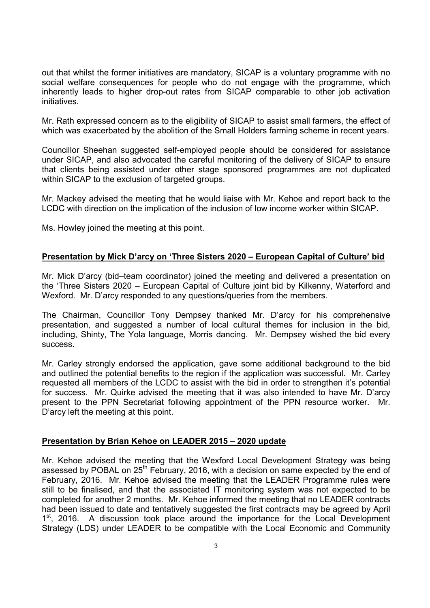out that whilst the former initiatives are mandatory, SICAP is a voluntary programme with no social welfare consequences for people who do not engage with the programme, which inherently leads to higher drop-out rates from SICAP comparable to other job activation initiatives.

Mr. Rath expressed concern as to the eligibility of SICAP to assist small farmers, the effect of which was exacerbated by the abolition of the Small Holders farming scheme in recent years.

Councillor Sheehan suggested self-employed people should be considered for assistance under SICAP, and also advocated the careful monitoring of the delivery of SICAP to ensure that clients being assisted under other stage sponsored programmes are not duplicated within SICAP to the exclusion of targeted groups.

Mr. Mackey advised the meeting that he would liaise with Mr. Kehoe and report back to the LCDC with direction on the implication of the inclusion of low income worker within SICAP.

Ms. Howley joined the meeting at this point.

#### **Presentation by Mick D'arcy on 'Three Sisters 2020 – European Capital of Culture' bid**

Mr. Mick D'arcy (bid–team coordinator) joined the meeting and delivered a presentation on the 'Three Sisters 2020 – European Capital of Culture joint bid by Kilkenny, Waterford and Wexford. Mr. D'arcy responded to any questions/queries from the members.

The Chairman, Councillor Tony Dempsey thanked Mr. D'arcy for his comprehensive presentation, and suggested a number of local cultural themes for inclusion in the bid, including, Shinty, The Yola language, Morris dancing. Mr. Dempsey wished the bid every success.

Mr. Carley strongly endorsed the application, gave some additional background to the bid and outlined the potential benefits to the region if the application was successful. Mr. Carley requested all members of the LCDC to assist with the bid in order to strengthen it's potential for success. Mr. Quirke advised the meeting that it was also intended to have Mr. D'arcy present to the PPN Secretariat following appointment of the PPN resource worker. Mr. D'arcy left the meeting at this point.

### **Presentation by Brian Kehoe on LEADER 2015 – 2020 update**

Mr. Kehoe advised the meeting that the Wexford Local Development Strategy was being assessed by POBAL on  $25<sup>th</sup>$  February, 2016, with a decision on same expected by the end of February, 2016. Mr. Kehoe advised the meeting that the LEADER Programme rules were still to be finalised, and that the associated IT monitoring system was not expected to be completed for another 2 months. Mr. Kehoe informed the meeting that no LEADER contracts had been issued to date and tentatively suggested the first contracts may be agreed by April 1<sup>st</sup>, 2016. A discussion took place around the importance for the Local Development Strategy (LDS) under LEADER to be compatible with the Local Economic and Community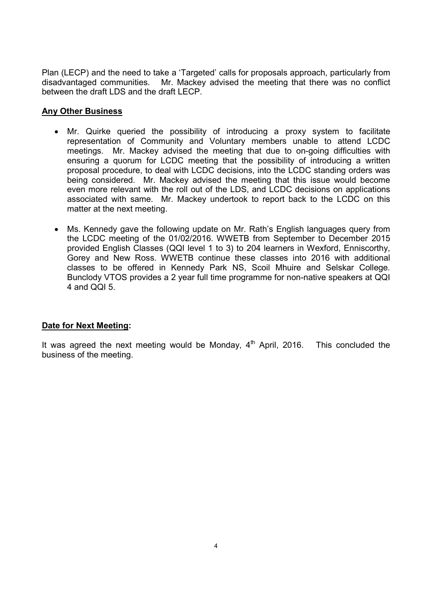Plan (LECP) and the need to take a 'Targeted' calls for proposals approach, particularly from disadvantaged communities. Mr. Mackey advised the meeting that there was no conflict between the draft LDS and the draft LECP.

## **Any Other Business**

- Mr. Quirke queried the possibility of introducing a proxy system to facilitate representation of Community and Voluntary members unable to attend LCDC meetings. Mr. Mackey advised the meeting that due to on-going difficulties with ensuring a quorum for LCDC meeting that the possibility of introducing a written proposal procedure, to deal with LCDC decisions, into the LCDC standing orders was being considered. Mr. Mackey advised the meeting that this issue would become even more relevant with the roll out of the LDS, and LCDC decisions on applications associated with same. Mr. Mackey undertook to report back to the LCDC on this matter at the next meeting.
- Ms. Kennedy gave the following update on Mr. Rath's English languages query from the LCDC meeting of the 01/02/2016. WWETB from September to December 2015 provided English Classes (QQI level 1 to 3) to 204 learners in Wexford, Enniscorthy, Gorey and New Ross. WWETB continue these classes into 2016 with additional classes to be offered in Kennedy Park NS, Scoil Mhuire and Selskar College. Bunclody VTOS provides a 2 year full time programme for non-native speakers at QQI 4 and QQI 5.

### **Date for Next Meeting:**

It was agreed the next meeting would be Monday,  $4<sup>th</sup>$  April, 2016. This concluded the business of the meeting.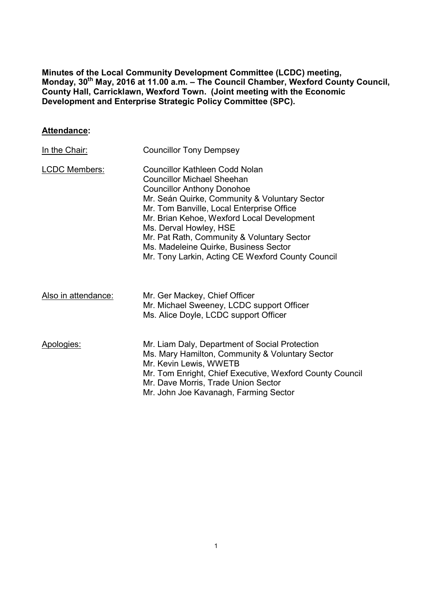**Minutes of the Local Community Development Committee (LCDC) meeting, Monday, 30th May, 2016 at 11.00 a.m. – The Council Chamber, Wexford County Council, County Hall, Carricklawn, Wexford Town. (Joint meeting with the Economic Development and Enterprise Strategic Policy Committee (SPC).** 

## **Attendance:**

| In the Chair:        | <b>Councillor Tony Dempsey</b>                                                                                                                                                                                                                                                                                                                                                                                             |
|----------------------|----------------------------------------------------------------------------------------------------------------------------------------------------------------------------------------------------------------------------------------------------------------------------------------------------------------------------------------------------------------------------------------------------------------------------|
| <b>LCDC Members:</b> | Councillor Kathleen Codd Nolan<br><b>Councillor Michael Sheehan</b><br><b>Councillor Anthony Donohoe</b><br>Mr. Seán Quirke, Community & Voluntary Sector<br>Mr. Tom Banville, Local Enterprise Office<br>Mr. Brian Kehoe, Wexford Local Development<br>Ms. Derval Howley, HSE<br>Mr. Pat Rath, Community & Voluntary Sector<br>Ms. Madeleine Quirke, Business Sector<br>Mr. Tony Larkin, Acting CE Wexford County Council |
| Also in attendance:  | Mr. Ger Mackey, Chief Officer<br>Mr. Michael Sweeney, LCDC support Officer<br>Ms. Alice Doyle, LCDC support Officer                                                                                                                                                                                                                                                                                                        |
| Apologies:           | Mr. Liam Daly, Department of Social Protection<br>Ms. Mary Hamilton, Community & Voluntary Sector<br>Mr. Kevin Lewis, WWETB<br>Mr. Tom Enright, Chief Executive, Wexford County Council<br>Mr. Dave Morris, Trade Union Sector<br>Mr. John Joe Kavanagh, Farming Sector                                                                                                                                                    |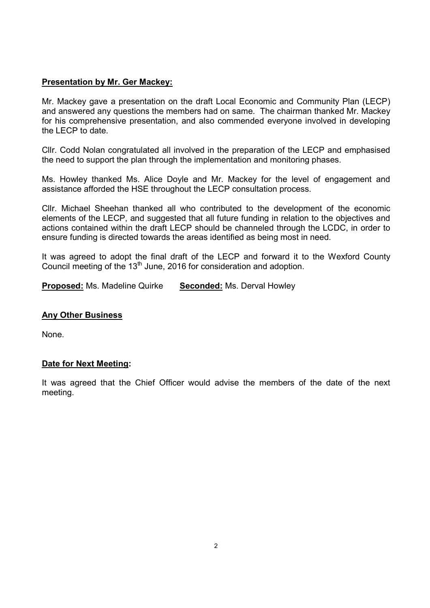## **Presentation by Mr. Ger Mackey:**

Mr. Mackey gave a presentation on the draft Local Economic and Community Plan (LECP) and answered any questions the members had on same. The chairman thanked Mr. Mackey for his comprehensive presentation, and also commended everyone involved in developing the LECP to date.

Cllr. Codd Nolan congratulated all involved in the preparation of the LECP and emphasised the need to support the plan through the implementation and monitoring phases.

Ms. Howley thanked Ms. Alice Doyle and Mr. Mackey for the level of engagement and assistance afforded the HSE throughout the LECP consultation process.

Cllr. Michael Sheehan thanked all who contributed to the development of the economic elements of the LECP, and suggested that all future funding in relation to the objectives and actions contained within the draft LECP should be channeled through the LCDC, in order to ensure funding is directed towards the areas identified as being most in need.

It was agreed to adopt the final draft of the LECP and forward it to the Wexford County Council meeting of the  $13<sup>th</sup>$  June, 2016 for consideration and adoption.

**Proposed:** Ms. Madeline Quirke **Seconded:** Ms. Derval Howley

### **Any Other Business**

None.

### **Date for Next Meeting:**

It was agreed that the Chief Officer would advise the members of the date of the next meeting.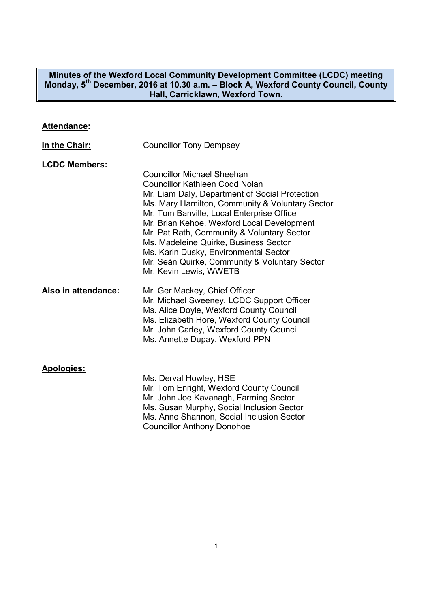### **Minutes of the Wexford Local Community Development Committee (LCDC) meeting Monday, 5th December, 2016 at 10.30 a.m. – Block A, Wexford County Council, County Hall, Carricklawn, Wexford Town.**

## **Attendance:**

| In the Chair:        | <b>Councillor Tony Dempsey</b>                                                                                                                                                                                                                                                                                                                                                                                                                                                        |
|----------------------|---------------------------------------------------------------------------------------------------------------------------------------------------------------------------------------------------------------------------------------------------------------------------------------------------------------------------------------------------------------------------------------------------------------------------------------------------------------------------------------|
| <b>LCDC Members:</b> | <b>Councillor Michael Sheehan</b><br><b>Councillor Kathleen Codd Nolan</b><br>Mr. Liam Daly, Department of Social Protection<br>Ms. Mary Hamilton, Community & Voluntary Sector<br>Mr. Tom Banville, Local Enterprise Office<br>Mr. Brian Kehoe, Wexford Local Development<br>Mr. Pat Rath, Community & Voluntary Sector<br>Ms. Madeleine Quirke, Business Sector<br>Ms. Karin Dusky, Environmental Sector<br>Mr. Seán Quirke, Community & Voluntary Sector<br>Mr. Kevin Lewis, WWETB |
| Also in attendance:  | Mr. Ger Mackey, Chief Officer<br>Mr. Michael Sweeney, LCDC Support Officer<br>Ms. Alice Doyle, Wexford County Council<br>Ms. Elizabeth Hore, Wexford County Council<br>Mr. John Carley, Wexford County Council<br>Ms. Annette Dupay, Wexford PPN                                                                                                                                                                                                                                      |
| <b>Apologies:</b>    | Ms. Derval Howley, HSE<br>Mr. Tom Enright, Wexford County Council<br>Mr. John Joe Kavanagh, Farming Sector<br>Ms. Susan Murphy, Social Inclusion Sector                                                                                                                                                                                                                                                                                                                               |

Ms. Anne Shannon, Social Inclusion Sector Councillor Anthony Donohoe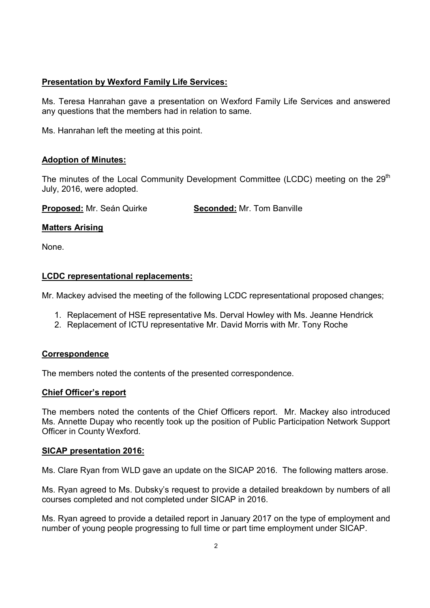## **Presentation by Wexford Family Life Services:**

Ms. Teresa Hanrahan gave a presentation on Wexford Family Life Services and answered any questions that the members had in relation to same.

Ms. Hanrahan left the meeting at this point.

### **Adoption of Minutes:**

The minutes of the Local Community Development Committee (LCDC) meeting on the  $29<sup>th</sup>$ July, 2016, were adopted.

**Proposed:** Mr. Seán Quirke **Seconded:** Mr. Tom Banville

### **Matters Arising**

None.

## **LCDC representational replacements:**

Mr. Mackey advised the meeting of the following LCDC representational proposed changes;

- 1. Replacement of HSE representative Ms. Derval Howley with Ms. Jeanne Hendrick
- 2. Replacement of ICTU representative Mr. David Morris with Mr. Tony Roche

### **Correspondence**

The members noted the contents of the presented correspondence.

### **Chief Officer's report**

The members noted the contents of the Chief Officers report. Mr. Mackey also introduced Ms. Annette Dupay who recently took up the position of Public Participation Network Support Officer in County Wexford.

### **SICAP presentation 2016:**

Ms. Clare Ryan from WLD gave an update on the SICAP 2016. The following matters arose.

Ms. Ryan agreed to Ms. Dubsky's request to provide a detailed breakdown by numbers of all courses completed and not completed under SICAP in 2016.

Ms. Ryan agreed to provide a detailed report in January 2017 on the type of employment and number of young people progressing to full time or part time employment under SICAP.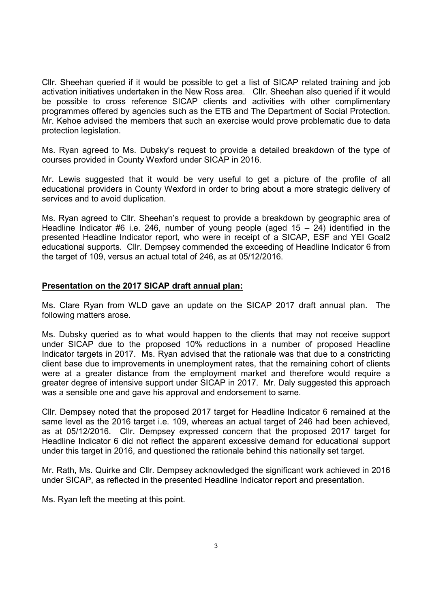Cllr. Sheehan queried if it would be possible to get a list of SICAP related training and job activation initiatives undertaken in the New Ross area. Cllr. Sheehan also queried if it would be possible to cross reference SICAP clients and activities with other complimentary programmes offered by agencies such as the ETB and The Department of Social Protection. Mr. Kehoe advised the members that such an exercise would prove problematic due to data protection legislation.

Ms. Ryan agreed to Ms. Dubsky's request to provide a detailed breakdown of the type of courses provided in County Wexford under SICAP in 2016.

Mr. Lewis suggested that it would be very useful to get a picture of the profile of all educational providers in County Wexford in order to bring about a more strategic delivery of services and to avoid duplication.

Ms. Ryan agreed to Cllr. Sheehan's request to provide a breakdown by geographic area of Headline Indicator #6 i.e. 246, number of young people (aged  $15 - 24$ ) identified in the presented Headline Indicator report, who were in receipt of a SICAP, ESF and YEI Goal2 educational supports. Cllr. Dempsey commended the exceeding of Headline Indicator 6 from the target of 109, versus an actual total of 246, as at 05/12/2016.

### **Presentation on the 2017 SICAP draft annual plan:**

Ms. Clare Ryan from WLD gave an update on the SICAP 2017 draft annual plan. The following matters arose.

Ms. Dubsky queried as to what would happen to the clients that may not receive support under SICAP due to the proposed 10% reductions in a number of proposed Headline Indicator targets in 2017. Ms. Ryan advised that the rationale was that due to a constricting client base due to improvements in unemployment rates, that the remaining cohort of clients were at a greater distance from the employment market and therefore would require a greater degree of intensive support under SICAP in 2017. Mr. Daly suggested this approach was a sensible one and gave his approval and endorsement to same.

Cllr. Dempsey noted that the proposed 2017 target for Headline Indicator 6 remained at the same level as the 2016 target i.e. 109, whereas an actual target of 246 had been achieved, as at 05/12/2016. Cllr. Dempsey expressed concern that the proposed 2017 target for Headline Indicator 6 did not reflect the apparent excessive demand for educational support under this target in 2016, and questioned the rationale behind this nationally set target.

Mr. Rath, Ms. Quirke and Cllr. Dempsey acknowledged the significant work achieved in 2016 under SICAP, as reflected in the presented Headline Indicator report and presentation.

Ms. Ryan left the meeting at this point.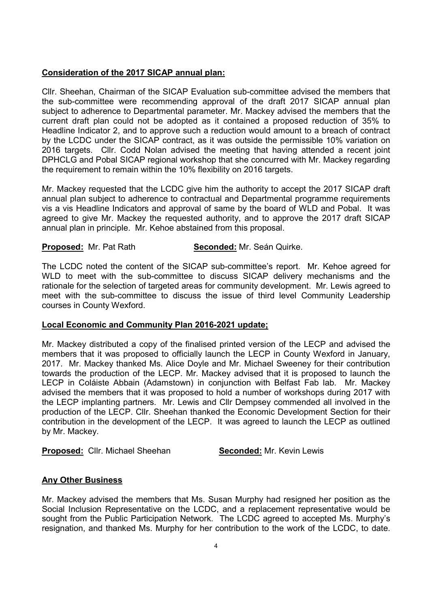## **Consideration of the 2017 SICAP annual plan:**

Cllr. Sheehan, Chairman of the SICAP Evaluation sub-committee advised the members that the sub-committee were recommending approval of the draft 2017 SICAP annual plan subject to adherence to Departmental parameter. Mr. Mackey advised the members that the current draft plan could not be adopted as it contained a proposed reduction of 35% to Headline Indicator 2, and to approve such a reduction would amount to a breach of contract by the LCDC under the SICAP contract, as it was outside the permissible 10% variation on 2016 targets. Cllr. Codd Nolan advised the meeting that having attended a recent joint DPHCLG and Pobal SICAP regional workshop that she concurred with Mr. Mackey regarding the requirement to remain within the 10% flexibility on 2016 targets.

Mr. Mackey requested that the LCDC give him the authority to accept the 2017 SICAP draft annual plan subject to adherence to contractual and Departmental programme requirements vis a vis Headline Indicators and approval of same by the board of WLD and Pobal. It was agreed to give Mr. Mackey the requested authority, and to approve the 2017 draft SICAP annual plan in principle. Mr. Kehoe abstained from this proposal.

### **Proposed:** Mr. Pat Rath **Seconded:** Mr. Seán Quirke.

The LCDC noted the content of the SICAP sub-committee's report. Mr. Kehoe agreed for WLD to meet with the sub-committee to discuss SICAP delivery mechanisms and the rationale for the selection of targeted areas for community development. Mr. Lewis agreed to meet with the sub-committee to discuss the issue of third level Community Leadership courses in County Wexford.

### **Local Economic and Community Plan 2016-2021 update;**

Mr. Mackey distributed a copy of the finalised printed version of the LECP and advised the members that it was proposed to officially launch the LECP in County Wexford in January, 2017. Mr. Mackey thanked Ms. Alice Doyle and Mr. Michael Sweeney for their contribution towards the production of the LECP. Mr. Mackey advised that it is proposed to launch the LECP in Coláiste Abbain (Adamstown) in conjunction with Belfast Fab lab. Mr. Mackey advised the members that it was proposed to hold a number of workshops during 2017 with the LECP implanting partners. Mr. Lewis and Cllr Dempsey commended all involved in the production of the LECP. Cllr. Sheehan thanked the Economic Development Section for their contribution in the development of the LECP. It was agreed to launch the LECP as outlined by Mr. Mackey.

**Proposed:** Cllr. Michael Sheehan **Seconded:** Mr. Kevin Lewis

### **Any Other Business**

Mr. Mackey advised the members that Ms. Susan Murphy had resigned her position as the Social Inclusion Representative on the LCDC, and a replacement representative would be sought from the Public Participation Network. The LCDC agreed to accepted Ms. Murphy's resignation, and thanked Ms. Murphy for her contribution to the work of the LCDC, to date.